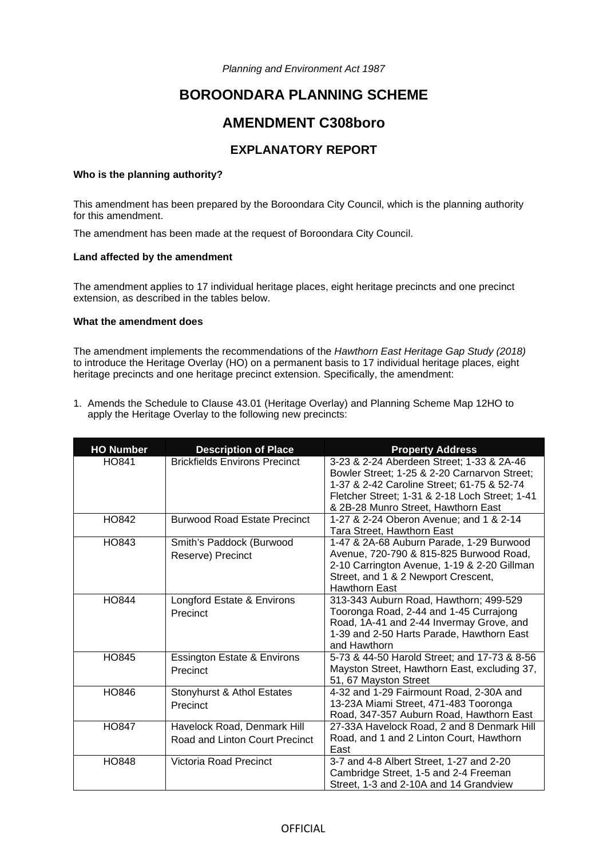*Planning and Environment Act 1987* 

# **BOROONDARA PLANNING SCHEME**

# **AMENDMENT C308boro**

# **EXPLANATORY REPORT**

# **Who is the planning authority?**

This amendment has been prepared by the Boroondara City Council, which is the planning authority for this amendment.

The amendment has been made at the request of Boroondara City Council.

#### **Land affected by the amendment**

The amendment applies to 17 individual heritage places, eight heritage precincts and one precinct extension, as described in the tables below.

### **What the amendment does**

The amendment implements the recommendations of the *Hawthorn East Heritage Gap Study (2018)* to introduce the Heritage Overlay (HO) on a permanent basis to 17 individual heritage places, eight heritage precincts and one heritage precinct extension. Specifically, the amendment:

1. Amends the Schedule to Clause 43.01 (Heritage Overlay) and Planning Scheme Map 12HO to apply the Heritage Overlay to the following new precincts:

| <b>HO Number</b> | <b>Description of Place</b>                                   | <b>Property Address</b>                                                                                                                                                                                                          |
|------------------|---------------------------------------------------------------|----------------------------------------------------------------------------------------------------------------------------------------------------------------------------------------------------------------------------------|
| HO841            | <b>Brickfields Environs Precinct</b>                          | 3-23 & 2-24 Aberdeen Street; 1-33 & 2A-46<br>Bowler Street; 1-25 & 2-20 Carnarvon Street;<br>1-37 & 2-42 Caroline Street; 61-75 & 52-74<br>Fletcher Street; 1-31 & 2-18 Loch Street; 1-41<br>& 2B-28 Munro Street, Hawthorn East |
| HO842            | <b>Burwood Road Estate Precinct</b>                           | 1-27 & 2-24 Oberon Avenue; and 1 & 2-14<br>Tara Street, Hawthorn East                                                                                                                                                            |
| HO843            | Smith's Paddock (Burwood<br>Reserve) Precinct                 | 1-47 & 2A-68 Auburn Parade, 1-29 Burwood<br>Avenue, 720-790 & 815-825 Burwood Road,<br>2-10 Carrington Avenue, 1-19 & 2-20 Gillman<br>Street, and 1 & 2 Newport Crescent,<br><b>Hawthorn East</b>                                |
| <b>HO844</b>     | Longford Estate & Environs<br>Precinct                        | 313-343 Auburn Road, Hawthorn; 499-529<br>Tooronga Road, 2-44 and 1-45 Currajong<br>Road, 1A-41 and 2-44 Invermay Grove, and<br>1-39 and 2-50 Harts Parade, Hawthorn East<br>and Hawthorn                                        |
| <b>HO845</b>     | <b>Essington Estate &amp; Environs</b><br>Precinct            | 5-73 & 44-50 Harold Street; and 17-73 & 8-56<br>Mayston Street, Hawthorn East, excluding 37,<br>51, 67 Mayston Street                                                                                                            |
| HO846            | Stonyhurst & Athol Estates<br>Precinct                        | 4-32 and 1-29 Fairmount Road, 2-30A and<br>13-23A Miami Street, 471-483 Tooronga<br>Road, 347-357 Auburn Road, Hawthorn East                                                                                                     |
| <b>HO847</b>     | Havelock Road, Denmark Hill<br>Road and Linton Court Precinct | 27-33A Havelock Road, 2 and 8 Denmark Hill<br>Road, and 1 and 2 Linton Court, Hawthorn<br>East                                                                                                                                   |
| HO848            | Victoria Road Precinct                                        | 3-7 and 4-8 Albert Street, 1-27 and 2-20<br>Cambridge Street, 1-5 and 2-4 Freeman<br>Street, 1-3 and 2-10A and 14 Grandview                                                                                                      |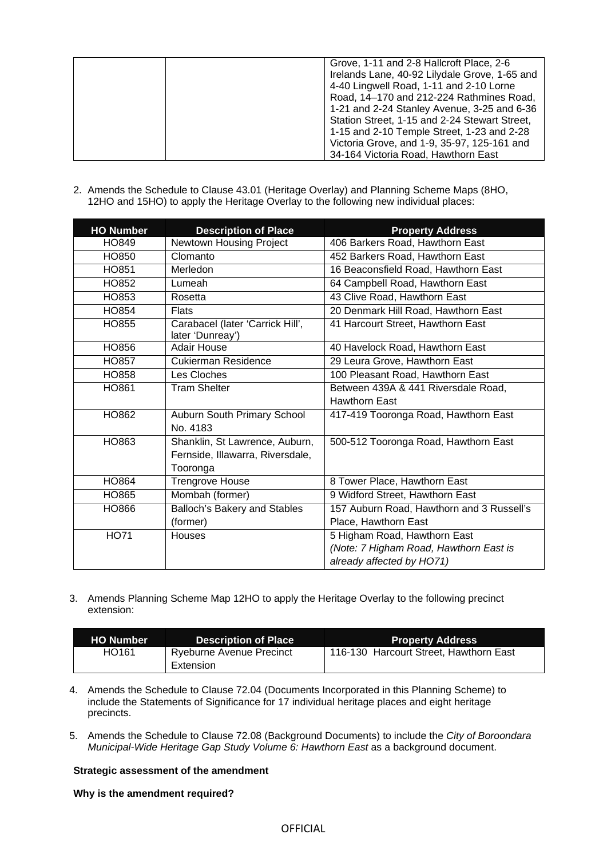| Grove, 1-11 and 2-8 Hallcroft Place, 2-6<br>Irelands Lane, 40-92 Lilydale Grove, 1-65 and<br>4-40 Lingwell Road, 1-11 and 2-10 Lorne<br>Road, 14-170 and 212-224 Rathmines Road,<br>1-21 and 2-24 Stanley Avenue, 3-25 and 6-36 |
|---------------------------------------------------------------------------------------------------------------------------------------------------------------------------------------------------------------------------------|
| Station Street, 1-15 and 2-24 Stewart Street,<br>1-15 and 2-10 Temple Street, 1-23 and 2-28<br>Victoria Grove, and 1-9, 35-97, 125-161 and                                                                                      |
| 34-164 Victoria Road, Hawthorn East                                                                                                                                                                                             |

2. Amends the Schedule to Clause 43.01 (Heritage Overlay) and Planning Scheme Maps (8HO, 12HO and 15HO) to apply the Heritage Overlay to the following new individual places:

| <b>HO Number</b> | <b>Description of Place</b>                          | <b>Property Address</b>                   |
|------------------|------------------------------------------------------|-------------------------------------------|
| HO849            | Newtown Housing Project                              | 406 Barkers Road, Hawthorn East           |
| HO850            | Clomanto                                             | 452 Barkers Road, Hawthorn East           |
| HO851            | Merledon                                             | 16 Beaconsfield Road, Hawthorn East       |
| HO852            | Lumeah                                               | 64 Campbell Road, Hawthorn East           |
| HO853            | Rosetta                                              | 43 Clive Road, Hawthorn East              |
| HO854            | <b>Flats</b>                                         | 20 Denmark Hill Road, Hawthorn East       |
| HO855            | Carabacel (later 'Carrick Hill',<br>later 'Dunreay') | 41 Harcourt Street, Hawthorn East         |
| HO856            | <b>Adair House</b>                                   | 40 Havelock Road, Hawthorn East           |
| HO857            | <b>Cukierman Residence</b>                           | 29 Leura Grove, Hawthorn East             |
| HO858            | Les Cloches                                          | 100 Pleasant Road, Hawthorn East          |
| HO861            | <b>Tram Shelter</b>                                  | Between 439A & 441 Riversdale Road,       |
|                  |                                                      | <b>Hawthorn East</b>                      |
| HO862            | Auburn South Primary School                          | 417-419 Tooronga Road, Hawthorn East      |
|                  | No. 4183                                             |                                           |
| HO863            | Shanklin, St Lawrence, Auburn,                       | 500-512 Tooronga Road, Hawthorn East      |
|                  | Fernside, Illawarra, Riversdale,                     |                                           |
|                  | Tooronga                                             |                                           |
| HO864            | <b>Trengrove House</b>                               | 8 Tower Place, Hawthorn East              |
| HO865            | Mombah (former)                                      | 9 Widford Street, Hawthorn East           |
| HO866            | Balloch's Bakery and Stables                         | 157 Auburn Road, Hawthorn and 3 Russell's |
|                  | (former)                                             | Place, Hawthorn East                      |
| <b>HO71</b>      | Houses                                               | 5 Higham Road, Hawthorn East              |
|                  |                                                      | (Note: 7 Higham Road, Hawthorn East is    |
|                  |                                                      | already affected by HO71)                 |

3. Amends Planning Scheme Map 12HO to apply the Heritage Overlay to the following precinct extension:

| <b>HO Number</b> | Description of Place     | <b>Property Address</b>                |
|------------------|--------------------------|----------------------------------------|
| HO161            | Ryeburne Avenue Precinct | 116-130 Harcourt Street, Hawthorn East |
|                  | Extension                |                                        |

- 4. Amends the Schedule to Clause 72.04 (Documents Incorporated in this Planning Scheme) to include the Statements of Significance for 17 individual heritage places and eight heritage precincts.
- 5. Amends the Schedule to Clause 72.08 (Background Documents) to include the *City of Boroondara Municipal-Wide Heritage Gap Study Volume 6: Hawthorn East* as a background document.

# **Strategic assessment of the amendment**

## **Why is the amendment required?**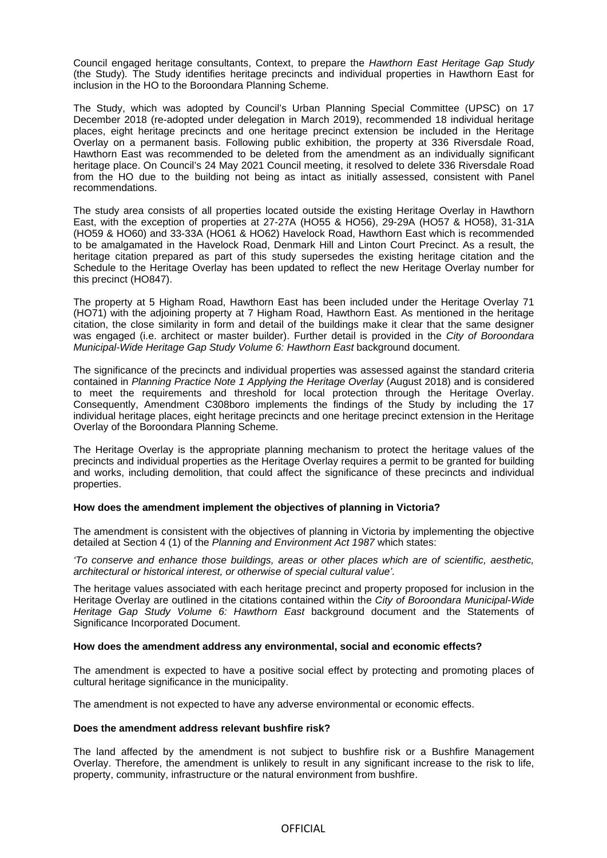Council engaged heritage consultants, Context, to prepare the *Hawthorn East Heritage Gap Study*  (the Study)*.* The Study identifies heritage precincts and individual properties in Hawthorn East for inclusion in the HO to the Boroondara Planning Scheme.

The Study, which was adopted by Council's Urban Planning Special Committee (UPSC) on 17 December 2018 (re-adopted under delegation in March 2019), recommended 18 individual heritage places, eight heritage precincts and one heritage precinct extension be included in the Heritage Overlay on a permanent basis. Following public exhibition, the property at 336 Riversdale Road, Hawthorn East was recommended to be deleted from the amendment as an individually significant heritage place. On Council's 24 May 2021 Council meeting, it resolved to delete 336 Riversdale Road from the HO due to the building not being as intact as initially assessed, consistent with Panel recommendations.

The study area consists of all properties located outside the existing Heritage Overlay in Hawthorn East, with the exception of properties at 27-27A (HO55 & HO56), 29-29A (HO57 & HO58), 31-31A (HO59 & HO60) and 33-33A (HO61 & HO62) Havelock Road, Hawthorn East which is recommended to be amalgamated in the Havelock Road, Denmark Hill and Linton Court Precinct. As a result, the heritage citation prepared as part of this study supersedes the existing heritage citation and the Schedule to the Heritage Overlay has been updated to reflect the new Heritage Overlay number for this precinct (HO847).

The property at 5 Higham Road, Hawthorn East has been included under the Heritage Overlay 71 (HO71) with the adjoining property at 7 Higham Road, Hawthorn East. As mentioned in the heritage citation, the close similarity in form and detail of the buildings make it clear that the same designer was engaged (i.e. architect or master builder). Further detail is provided in the *City of Boroondara Municipal-Wide Heritage Gap Study Volume 6: Hawthorn East* background document.

The significance of the precincts and individual properties was assessed against the standard criteria contained in *Planning Practice Note 1 Applying the Heritage Overlay* (August 2018) and is considered to meet the requirements and threshold for local protection through the Heritage Overlay. Consequently, Amendment C308boro implements the findings of the Study by including the 17 individual heritage places, eight heritage precincts and one heritage precinct extension in the Heritage Overlay of the Boroondara Planning Scheme.

The Heritage Overlay is the appropriate planning mechanism to protect the heritage values of the precincts and individual properties as the Heritage Overlay requires a permit to be granted for building and works, including demolition, that could affect the significance of these precincts and individual properties.

#### **How does the amendment implement the objectives of planning in Victoria?**

The amendment is consistent with the objectives of planning in Victoria by implementing the objective detailed at Section 4 (1) of the *Planning and Environment Act 1987* which states:

*'To conserve and enhance those buildings, areas or other places which are of scientific, aesthetic, architectural or historical interest, or otherwise of special cultural value'.* 

The heritage values associated with each heritage precinct and property proposed for inclusion in the Heritage Overlay are outlined in the citations contained within the *City of Boroondara Municipal-Wide Heritage Gap Study Volume 6: Hawthorn East* background document and the Statements of Significance Incorporated Document.

#### **How does the amendment address any environmental, social and economic effects?**

The amendment is expected to have a positive social effect by protecting and promoting places of cultural heritage significance in the municipality.

The amendment is not expected to have any adverse environmental or economic effects.

#### **Does the amendment address relevant bushfire risk?**

The land affected by the amendment is not subject to bushfire risk or a Bushfire Management Overlay. Therefore, the amendment is unlikely to result in any significant increase to the risk to life, property, community, infrastructure or the natural environment from bushfire.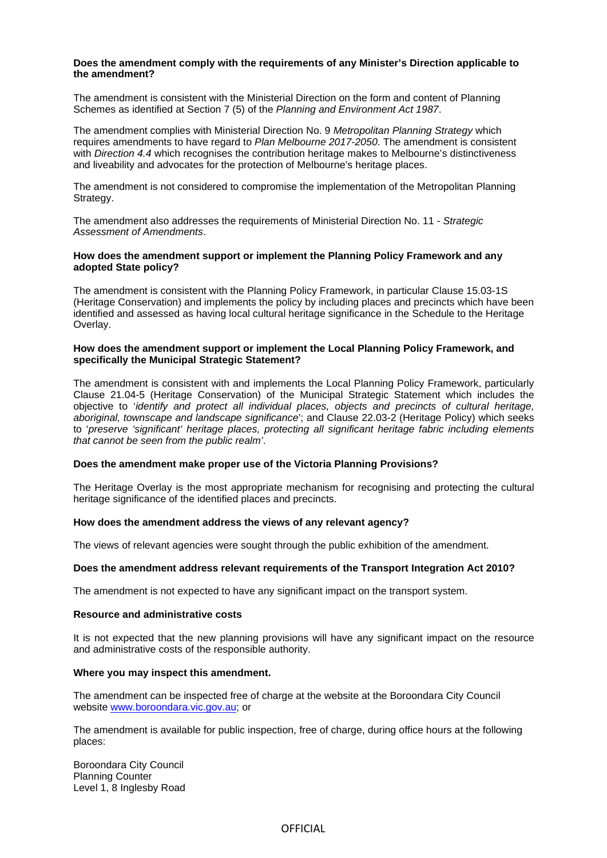#### **Does the amendment comply with the requirements of any Minister's Direction applicable to the amendment?**

The amendment is consistent with the Ministerial Direction on the form and content of Planning Schemes as identified at Section 7 (5) of the *Planning and Environment Act 1987*.

The amendment complies with Ministerial Direction No. 9 *Metropolitan Planning Strategy* which requires amendments to have regard to *Plan Melbourne 2017-2050*. The amendment is consistent with *Direction 4.4* which recognises the contribution heritage makes to Melbourne's distinctiveness and liveability and advocates for the protection of Melbourne's heritage places.

The amendment is not considered to compromise the implementation of the Metropolitan Planning Strategy.

The amendment also addresses the requirements of Ministerial Direction No. 11 - *Strategic Assessment of Amendments*.

#### **How does the amendment support or implement the Planning Policy Framework and any adopted State policy?**

The amendment is consistent with the Planning Policy Framework, in particular Clause 15.03-1S (Heritage Conservation) and implements the policy by including places and precincts which have been identified and assessed as having local cultural heritage significance in the Schedule to the Heritage Overlay.

#### **How does the amendment support or implement the Local Planning Policy Framework, and specifically the Municipal Strategic Statement?**

The amendment is consistent with and implements the Local Planning Policy Framework, particularly Clause 21.04-5 (Heritage Conservation) of the Municipal Strategic Statement which includes the objective to '*identify and protect all individual places, objects and precincts of cultural heritage, aboriginal, townscape and landscape significance*'; and Clause 22.03-2 (Heritage Policy) which seeks to '*preserve 'significant' heritage places, protecting all significant heritage fabric including elements that cannot be seen from the public realm'*.

# **Does the amendment make proper use of the Victoria Planning Provisions?**

The Heritage Overlay is the most appropriate mechanism for recognising and protecting the cultural heritage significance of the identified places and precincts.

#### **How does the amendment address the views of any relevant agency?**

The views of relevant agencies were sought through the public exhibition of the amendment.

## **Does the amendment address relevant requirements of the Transport Integration Act 2010?**

The amendment is not expected to have any significant impact on the transport system.

#### **Resource and administrative costs**

It is not expected that the new planning provisions will have any significant impact on the resource and administrative costs of the responsible authority.

#### **Where you may inspect this amendment.**

The amendment can be inspected free of charge at the website at the Boroondara City Council website [www.boroondara.vic.gov.au;](http://www.boroondara.vic.gov.au/) or

The amendment is available for public inspection, free of charge, during office hours at the following places:

Boroondara City Council Planning Counter Level 1, 8 Inglesby Road